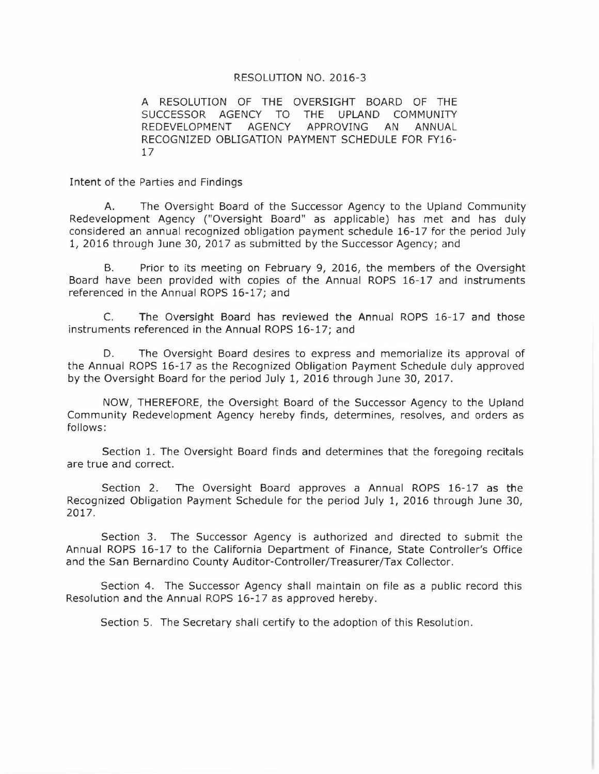#### RESOLUTION NO. 2016-3

A RESOLUTION OF THE OVERSIGHT BOARD OF THE SUCCESSOR AGENCY TO THE UPLAND COMMUNITY REDEVELOPMENT AGENCY APPROVING AN ANNUAL RECOGNIZED OBLIGATION PAYMENT SCHEDULE FOR FY16- $17$ 

Intent of the Parties and Findings

The Oversight Board of the Successor Agency to the Upland Community A. Redevelopment Agency ("Oversight Board" as applicable) has met and has duly considered an annual recognized obligation payment schedule 16-17 for the period July 1, 2016 through June 30, 2017 as submitted by the Successor Agency; and

**B.** Prior to its meeting on February 9, 2016, the members of the Oversight Board have been provided with copies of the Annual ROPS 16-17 and instruments referenced in the Annual ROPS 16-17; and

The Oversight Board has reviewed the Annual ROPS 16-17 and those C. instruments referenced in the Annual ROPS 16-17; and

D. The Oversight Board desires to express and memorialize its approval of the Annual ROPS 16-17 as the Recognized Obligation Payment Schedule duly approved by the Oversight Board for the period July 1, 2016 through June 30, 2017.

NOW, THEREFORE, the Oversight Board of the Successor Agency to the Upland Community Redevelopment Agency hereby finds, determines, resolves, and orders as follows:

Section 1. The Oversight Board finds and determines that the foregoing recitals are true and correct.

Section 2. The Oversight Board approves a Annual ROPS 16-17 as the Recognized Obligation Payment Schedule for the period July 1, 2016 through June 30, 2017.

Section 3. The Successor Agency is authorized and directed to submit the Annual ROPS 16-17 to the California Department of Finance, State Controller's Office and the San Bernardino County Auditor-Controller/Treasurer/Tax Collector.

Section 4. The Successor Agency shall maintain on file as a public record this Resolution and the Annual ROPS 16-17 as approved hereby.

Section 5. The Secretary shall certify to the adoption of this Resolution.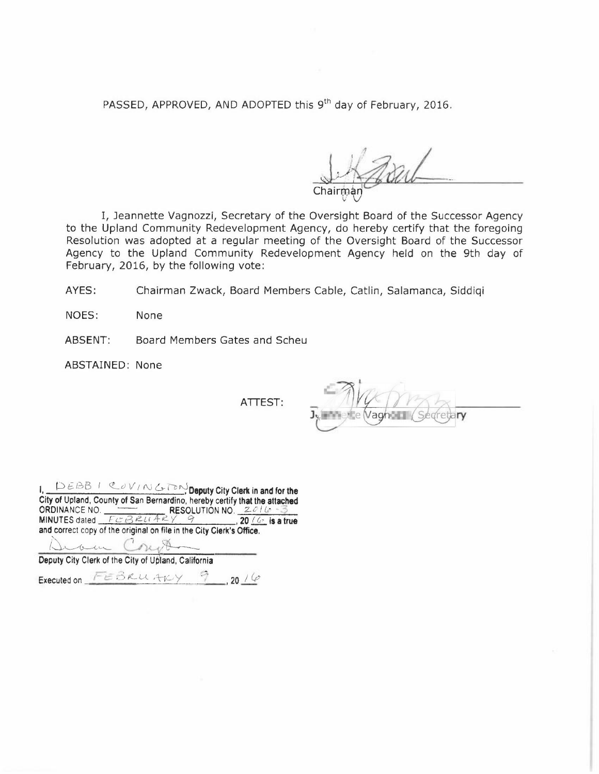PASSED, APPROVED, AND ADOPTED this 9<sup>th</sup> day of February, 2016.

Chairman

I, Jeannette Vagnozzi, Secretary of the Oversight Board of the Successor Agency to the Upland Community Redevelopment Agency, do hereby certify that the foregoing Resolution was adopted at a regular meeting of the Oversight Board of the Successor Agency to the Upland Community Redevelopment Agency held on the 9th day of February, 2016, by the following vote:

AYES: Chairman Zwack, Board Members Cable, Catlin, Salamanca, Siddiqi

NOES: **None** 

ABSENT: Board Members Gates and Scheu

ABSTAINED: None

ATTEST:

ry

| DEBBICOVING TOM Deputy City Clerk in and for the                           |  |  |  |  |  |  |  |
|----------------------------------------------------------------------------|--|--|--|--|--|--|--|
| City of Upland, County of San Bernardino, hereby certify that the attached |  |  |  |  |  |  |  |
| ORDINANCE NO.<br><b>RESOLUTION NO.</b> $2616 - 3$                          |  |  |  |  |  |  |  |
| MINUTES dated $FCBRLI+RY = 9$ , 20 $4$ is a true                           |  |  |  |  |  |  |  |
| and correct copy of the original on file in the City Clerk's Office.       |  |  |  |  |  |  |  |
|                                                                            |  |  |  |  |  |  |  |
| Deputy City Clerk of the City of Upland, California                        |  |  |  |  |  |  |  |

Executed on FEBRUARY 9,2016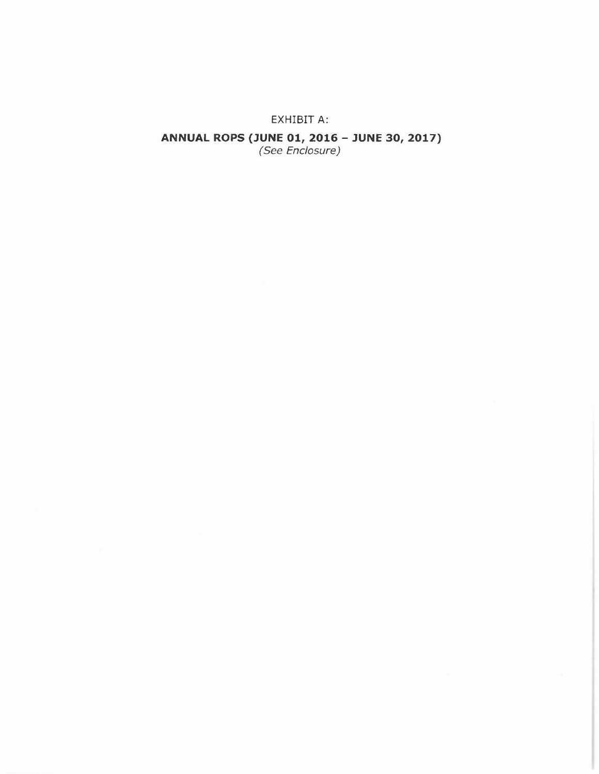#### EXHIBIT A:

# **ANNUAL ROPS (JUNE 01, 2016 - JUNE 30, 2017)**<br>(See Enclosure)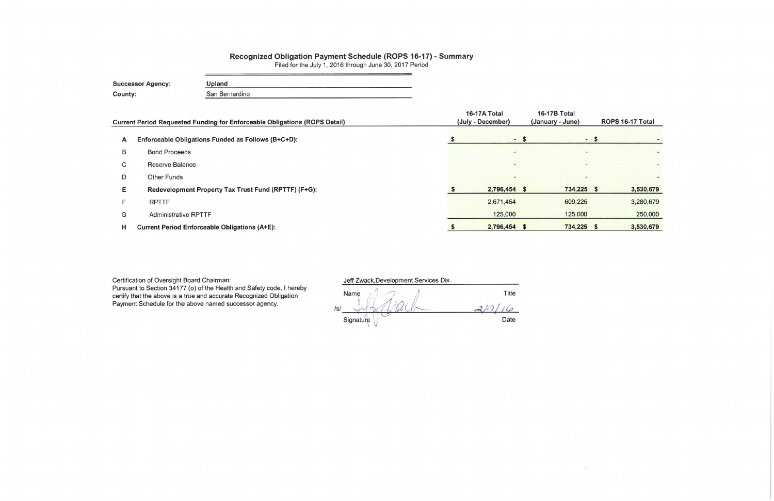# Recognized Obligation Payment Schedule (ROPS 16-17) - Summary<br>Filed for the July 1, 2016 through June 30, 2017 Period

| <b>Successor Agency:</b> | Upland         |
|--------------------------|----------------|
| <b>County:</b>           | San Bernardino |

|   | <b>Current Period Requested Funding for Enforceable Obligations (ROPS Detail)</b> | 16-17A Total<br>(July - December) | <b>16-17B Total</b><br>(January - June) | ROPS 16-17 Total |      |                          |
|---|-----------------------------------------------------------------------------------|-----------------------------------|-----------------------------------------|------------------|------|--------------------------|
| A | Enforceable Obligations Funded as Follows (B+C+D):                                |                                   | $-5$                                    |                  | $-5$ |                          |
| B | <b>Bond Proceeds</b>                                                              |                                   | $\overline{\phantom{a}}$                | -                |      | $\overline{\phantom{0}}$ |
| С | Reserve Balance                                                                   |                                   | $\overline{\phantom{a}}$                | $\sim$           |      | $\overline{\phantom{0}}$ |
| D | <b>Other Funds</b>                                                                |                                   | $\sim$                                  | $\blacksquare$   |      |                          |
| E | Redevelopment Property Tax Trust Fund (RPTTF) (F+G):                              |                                   | 2,796,454 \$                            | 734,225 \$       |      | 3,530,679                |
| Е | <b>RPTTF</b>                                                                      |                                   | 2,671,454                               | 609,225          |      | 3,280,679                |
| G | <b>Administrative RPTTF</b>                                                       |                                   | 125,000                                 | 125,000          |      | 250,000                  |
| н | <b>Current Period Enforceable Obligations (A+E):</b>                              |                                   | 2,796,454 \$                            | 734,225 \$       |      | 3,530,679                |

Certification of Oversight Board Chairman:<br>Pursuant to Section 34177 (o) of the Health and Safety code, I hereby<br>certify that the above is a true and accurate Recognized Obligation<br>Payment Schedule for the above named succ

Jeff Zwack, Development Services Dir.

| Name      | Title |
|-----------|-------|
| /s/       |       |
| Signature | Date  |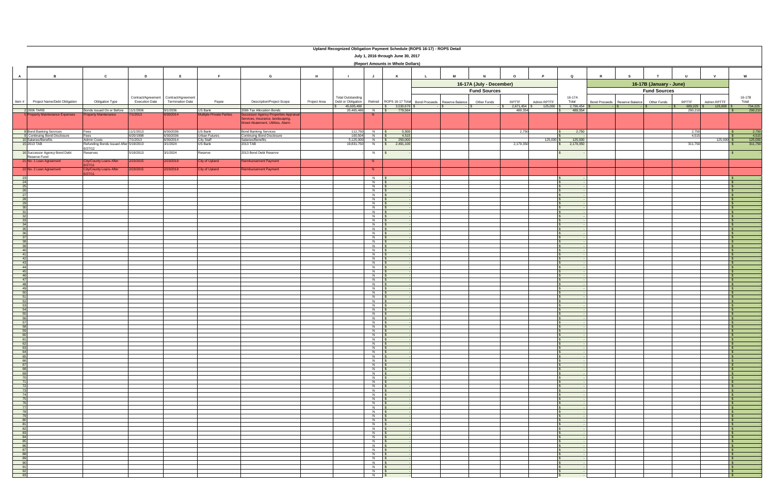|                       | Upland Recognized Obligation Payment Schedule (ROPS 16-17) - ROPS Detail<br>July 1, 2016 through June 30, 2017 |                                                   |                        |                                                           |                                            |                                                                           |              |                                                                |                                                        |                                                 |   |                      |                                                |                      |                                                |                               |                              |
|-----------------------|----------------------------------------------------------------------------------------------------------------|---------------------------------------------------|------------------------|-----------------------------------------------------------|--------------------------------------------|---------------------------------------------------------------------------|--------------|----------------------------------------------------------------|--------------------------------------------------------|-------------------------------------------------|---|----------------------|------------------------------------------------|----------------------|------------------------------------------------|-------------------------------|------------------------------|
|                       | (Report Amounts in Whole Dollars)                                                                              |                                                   |                        |                                                           |                                            |                                                                           |              |                                                                |                                                        |                                                 |   |                      |                                                |                      |                                                |                               |                              |
| $\overline{A}$        | $\overline{B}$                                                                                                 | $\mathbf{c}$                                      | D                      |                                                           | E                                          | G                                                                         | H            | J                                                              | к                                                      |                                                 | M | $\Omega$             |                                                | $\mathbf Q$          |                                                | $\mathbf{v}$<br>$\mathbf{u}$  | W                            |
|                       |                                                                                                                |                                                   |                        |                                                           |                                            |                                                                           |              |                                                                |                                                        | 16-17A (July - December)<br><b>Fund Sources</b> |   |                      | 16-17B (January - June)<br><b>Fund Sources</b> |                      |                                                |                               |                              |
| Item #                | Project Name/Debt Obligation                                                                                   | Obligation Type                                   | <b>Execution Date</b>  | Contract/Agreement Contract/Agreement<br>Termination Date | Payee                                      | <b>Description/Project Scope</b>                                          | Project Area | <b>Total Outstanding</b><br>Debt or Obligation<br>\$45,635,490 | Retired ROPS 16-17 Total Bond Proceeds Reserve Balance |                                                 |   | RPTTF<br>Other Funds | Admin RPTTF                                    | 16-17A<br>Total      | Bond Proceeds<br>Reserve Balance   Other Funds | RPTTF<br>Admin RPTTF          | 16-17B<br>Total              |
|                       | 2006 TARB<br><b>Property Maintenance Expenses</b>                                                              | Bonds Issued On or Before<br>roperty Maintenance  | 11/1/2006<br>7/1/2013  | 9/1/2036<br>6/30/2014                                     | US Bank<br><b>Multiple Private Parties</b> | 2006 Tax Allocation Bonds<br><b>Successor Agency Properties Appraisal</b> |              | 20,465,486                                                     | $\frac{1}{2}$ 3,530,679<br>779,564<br>$N$ $\sqrt{S}$   |                                                 |   |                      | $2,671,454$ \$<br>125,000<br>489,354           | 2,796,454<br>489,354 |                                                | 609,225<br>125,000<br>290,210 | 734,225<br>290,210           |
|                       |                                                                                                                |                                                   |                        |                                                           |                                            | Services, Insurance, landscaping,<br>Weed Abatement, Utilities, Alarm.    |              |                                                                |                                                        |                                                 |   |                      |                                                |                      |                                                |                               |                              |
|                       | <b>Bond Banking Services</b><br>Continuing Bond Disclosure                                                     | Fees<br>Fees                                      | 11/1/2013<br>6/20/1998 | 6/30/2036<br>6/30/2036                                    | JS Bank<br>Urban Futures                   | <b>Bond Banking Services</b><br>Continuing Bond Disclosure                |              | 112,750<br>N<br>100,504<br>N                                   | 5,500<br>4,515                                         |                                                 |   |                      | 2,750                                          | 2,750                |                                                | 2,750<br>4,515                | $2,750$<br>4,515             |
|                       | 10 Salaries/Benefits                                                                                           | <b>Admin Costs</b>                                | 7/1/2013               | 6/30/2014                                                 | City Staff                                 | Salaries/Benefits                                                         |              | 5,125,00<br>N                                                  | 250,000                                                |                                                 |   |                      | 125,000                                        | 125,000              |                                                | $125,000$ \$                  | $\frac{125,000}{311,750}$    |
|                       | 15 2013 TAB                                                                                                    | Refunding Bonds Issued After 5/19/2013<br>6/27/12 |                        | 3/1/2024                                                  | US Bank                                    | 2013 TAB                                                                  |              | 19,831,75<br>N                                                 | 2,491,100                                              |                                                 |   |                      | 2,179,350                                      | 2,179,350            |                                                | 311,750                       |                              |
|                       | 16 Successor Agency Bond Debt<br>Reserve Fund                                                                  | Reserves                                          | 5/19/2013              | 3/1/2024                                                  | Reserve                                    | 2013 Bond Debt Reserve                                                    |              | N                                                              |                                                        |                                                 |   |                      |                                                |                      |                                                |                               |                              |
|                       | 21 No. 1 Loan Agreement                                                                                        | <b>City/County Loans After</b><br>27/11           | 2/23/2015              | 2/23/2018                                                 | <b>City of Upland</b>                      | Reimbursement Payment                                                     |              | N                                                              |                                                        |                                                 |   |                      |                                                |                      |                                                |                               |                              |
|                       | 22 No. 2 Loan Agreement                                                                                        | <b>City/County Loans After</b><br>27/11           | 2/23/2015              | 2/23/2018                                                 | City of Upland                             | eimbursement Payment                                                      |              | N                                                              |                                                        |                                                 |   |                      |                                                |                      |                                                |                               |                              |
|                       |                                                                                                                |                                                   |                        |                                                           |                                            |                                                                           |              | $N$ $S$                                                        | $N$ $\sqrt{S}$                                         |                                                 |   |                      |                                                |                      |                                                |                               |                              |
| 2!<br>$\frac{26}{26}$ |                                                                                                                |                                                   |                        |                                                           |                                            |                                                                           |              | N \$<br>$N$ $S$                                                |                                                        |                                                 |   |                      |                                                |                      |                                                |                               | IS.                          |
|                       |                                                                                                                |                                                   |                        |                                                           |                                            |                                                                           |              |                                                                | $N$ \$                                                 |                                                 |   |                      |                                                |                      |                                                |                               | $\mathsf{s}$                 |
| - 2<br>29             |                                                                                                                |                                                   |                        |                                                           |                                            |                                                                           |              |                                                                | $N$ \$<br>$N$ \$                                       |                                                 |   |                      |                                                |                      |                                                |                               | IS.<br>IS.                   |
| $\overline{31}$       |                                                                                                                |                                                   |                        |                                                           |                                            |                                                                           |              | $N$ $S$                                                        | $N$ \$                                                 |                                                 |   |                      |                                                |                      |                                                |                               | $\mathsf{s}$<br>$\mathsf{s}$ |
|                       |                                                                                                                |                                                   |                        |                                                           |                                            |                                                                           |              | $N$ \$                                                         |                                                        |                                                 |   |                      |                                                |                      |                                                |                               |                              |
|                       |                                                                                                                |                                                   |                        |                                                           |                                            |                                                                           |              | $N$ $S$                                                        | $N$ \$                                                 |                                                 |   |                      |                                                |                      |                                                |                               | <b>1.</b> S                  |
|                       |                                                                                                                |                                                   |                        |                                                           |                                            |                                                                           |              | $N$ \$<br>$N$ \$                                               |                                                        |                                                 |   |                      |                                                |                      |                                                |                               | $\mathbf{s}$<br>$\mathsf{s}$ |
| $\sim$ 37             |                                                                                                                |                                                   |                        |                                                           |                                            |                                                                           |              |                                                                | $N$ \$                                                 |                                                 |   |                      |                                                |                      |                                                |                               | IS.                          |
|                       |                                                                                                                |                                                   |                        |                                                           |                                            |                                                                           |              | $N$ $S$<br>$N$ \$                                              |                                                        |                                                 |   |                      |                                                |                      |                                                |                               | IS.<br>$\mathbf{s}$          |
| 40                    |                                                                                                                |                                                   |                        |                                                           |                                            |                                                                           |              |                                                                | $N$ \$                                                 |                                                 |   |                      |                                                |                      |                                                |                               | IS.                          |
| 41<br>42              |                                                                                                                |                                                   |                        |                                                           |                                            |                                                                           |              | $N$ $\sqrt{S}$                                                 | $N$ \$                                                 |                                                 |   |                      |                                                |                      |                                                |                               | IS.<br>$\sqrt{s}$            |
| $-43$<br>44           |                                                                                                                |                                                   |                        |                                                           |                                            |                                                                           |              | $N$ $\sqrt{s}$<br>$N$ $S$                                      |                                                        |                                                 |   |                      |                                                |                      |                                                |                               | IS.<br>IS.                   |
| $\frac{45}{46}$       |                                                                                                                |                                                   |                        |                                                           |                                            |                                                                           |              |                                                                | $N$ \$                                                 |                                                 |   |                      |                                                |                      |                                                |                               | IS.                          |
| 47                    |                                                                                                                |                                                   |                        |                                                           |                                            |                                                                           |              | $N$ $\sqrt{S}$<br>$N$ $\sqrt{s}$                               |                                                        |                                                 |   |                      |                                                |                      |                                                |                               | IS.<br>$\mathbf{s}$          |
| $-48$                 |                                                                                                                |                                                   |                        |                                                           |                                            |                                                                           |              | $N$ $S$                                                        |                                                        |                                                 |   |                      |                                                |                      |                                                |                               | l \$                         |
| $-49$<br>50           |                                                                                                                |                                                   |                        |                                                           |                                            |                                                                           |              | $N$ $\sqrt{S}$                                                 | $N$ $\sqrt{S}$                                         |                                                 |   |                      |                                                |                      |                                                |                               | IS.                          |
| 51<br>52              |                                                                                                                |                                                   |                        |                                                           |                                            |                                                                           |              | $N$ $\sqrt{S}$<br>$N$ \$                                       |                                                        |                                                 |   |                      |                                                |                      |                                                |                               | $\mathsf{s}$<br>$\mathsf{s}$ |
| $-53$                 |                                                                                                                |                                                   |                        |                                                           |                                            |                                                                           |              |                                                                | $N$ \$                                                 |                                                 |   |                      |                                                |                      |                                                |                               | IS.                          |
| 54<br>55              |                                                                                                                |                                                   |                        |                                                           |                                            |                                                                           |              |                                                                | N <sub>S</sub><br>$N$ $\sqrt{S}$                       |                                                 |   |                      |                                                |                      |                                                |                               | IS.<br>$\mathsf{S}$          |
| 56                    |                                                                                                                |                                                   |                        |                                                           |                                            |                                                                           |              | $N$ \$                                                         |                                                        |                                                 |   |                      |                                                |                      |                                                |                               | $\mathbb{R}$                 |
| $-58$                 |                                                                                                                |                                                   |                        |                                                           |                                            |                                                                           |              | $N$ $\sqrt{S}$                                                 | N \$                                                   |                                                 |   |                      |                                                |                      |                                                |                               | IS                           |
| $\frac{59}{60}$       |                                                                                                                |                                                   |                        |                                                           |                                            |                                                                           |              | $N$ \$<br>$N$ $\sqrt{s}$                                       |                                                        |                                                 |   |                      |                                                |                      |                                                |                               | $\mathsf{S}$<br>$\sqrt{s}$   |
| 61                    |                                                                                                                |                                                   |                        |                                                           |                                            |                                                                           |              |                                                                | $N$ \$                                                 |                                                 |   |                      |                                                |                      |                                                |                               | $\mathsf{s}$                 |
| 62<br>63              |                                                                                                                |                                                   |                        |                                                           |                                            |                                                                           |              |                                                                | $N$ \$<br>$N$ $S$                                      |                                                 |   |                      |                                                |                      |                                                |                               | IS.<br>IS.                   |
| 64<br>65              |                                                                                                                |                                                   |                        |                                                           |                                            |                                                                           |              |                                                                | $N$ \$<br>$N$ $S$                                      |                                                 |   |                      |                                                |                      |                                                |                               | $\sqrt{S}$<br>$\sqrt{s}$     |
| 66                    |                                                                                                                |                                                   |                        |                                                           |                                            |                                                                           |              |                                                                | $N$ \$                                                 |                                                 |   |                      |                                                |                      |                                                |                               | IS.                          |
| 67<br>68              |                                                                                                                |                                                   |                        |                                                           |                                            |                                                                           |              |                                                                | $N$ $S$<br>N <sub>S</sub>                              |                                                 |   |                      |                                                |                      |                                                |                               | $\mathsf{S}$<br>$\sqrt{s}$   |
| 69<br>70              |                                                                                                                |                                                   |                        |                                                           |                                            |                                                                           |              |                                                                | $N$ \$<br>$N$ \$                                       |                                                 |   |                      |                                                |                      |                                                |                               | $\sqrt{S}$<br>IS.            |
| 71                    |                                                                                                                |                                                   |                        |                                                           |                                            |                                                                           |              |                                                                | $N$ \$                                                 |                                                 |   |                      |                                                |                      |                                                |                               | $\mathsf{s}$                 |
| $\frac{72}{73}$       |                                                                                                                |                                                   |                        |                                                           |                                            |                                                                           |              | $N$ \$                                                         | $N$ $S$                                                |                                                 |   |                      |                                                |                      |                                                |                               | $\mathbf{s}$<br>$\sqrt{s}$   |
| $\overline{74}$       |                                                                                                                |                                                   |                        |                                                           |                                            |                                                                           |              |                                                                | $N$ \$                                                 |                                                 |   |                      |                                                |                      |                                                |                               | IS.                          |
| 75<br>76              |                                                                                                                |                                                   |                        |                                                           |                                            |                                                                           |              | $N$ \$                                                         | $N$ $S$                                                |                                                 |   |                      |                                                |                      |                                                |                               | IS.<br>$\mathsf{s}$          |
| 77<br>78              |                                                                                                                |                                                   |                        |                                                           |                                            |                                                                           |              | N \$                                                           | N \$                                                   |                                                 |   |                      |                                                |                      |                                                |                               | $\sqrt{s}$<br>$\sqrt{S}$     |
| $\overline{79}$       |                                                                                                                |                                                   |                        |                                                           |                                            |                                                                           |              |                                                                | $N$ $S$                                                |                                                 |   |                      |                                                |                      |                                                |                               | IS.                          |
| 80<br>81              |                                                                                                                |                                                   |                        |                                                           |                                            |                                                                           |              |                                                                | $N$ $S$<br>$N$ \$                                      |                                                 |   |                      |                                                |                      |                                                |                               | $\sqrt{s}$<br>$\sqrt{s}$     |
| 82                    |                                                                                                                |                                                   |                        |                                                           |                                            |                                                                           |              |                                                                | N \$                                                   |                                                 |   |                      |                                                |                      |                                                |                               | $\sqrt{S}$                   |
| $\frac{83}{84}$       |                                                                                                                |                                                   |                        |                                                           |                                            |                                                                           |              | $N$ \$                                                         | $N$ \$                                                 |                                                 |   |                      |                                                |                      |                                                |                               | IS-<br>IS.                   |
| 85<br>86              |                                                                                                                |                                                   |                        |                                                           |                                            |                                                                           |              | $N$ \$                                                         | $N$ \$                                                 |                                                 |   |                      |                                                |                      |                                                |                               | $\sqrt{S}$<br>$\sqrt{S}$     |
| $\frac{87}{88}$       |                                                                                                                |                                                   |                        |                                                           |                                            |                                                                           |              |                                                                | $N$ $S$                                                |                                                 |   |                      |                                                |                      |                                                |                               | $\sqrt{S}$                   |
| 89                    |                                                                                                                |                                                   |                        |                                                           |                                            |                                                                           |              | $N$ $\vert S \vert$                                            | $N$ $S$                                                |                                                 |   |                      |                                                |                      |                                                |                               | $\mathsf{s}$<br>$\sqrt{S}$   |
| 90                    |                                                                                                                |                                                   |                        |                                                           |                                            |                                                                           |              |                                                                | N \$                                                   |                                                 |   |                      |                                                |                      |                                                |                               | $\sqrt{S}$                   |
| 91<br>92              |                                                                                                                |                                                   |                        |                                                           |                                            |                                                                           |              |                                                                | N \$<br>$N$ \$                                         |                                                 |   |                      |                                                |                      |                                                |                               | IS-<br>$\mathsf{S}$          |
| 93                    |                                                                                                                |                                                   |                        |                                                           |                                            |                                                                           |              | N \$                                                           |                                                        |                                                 |   |                      |                                                |                      |                                                |                               | IS.                          |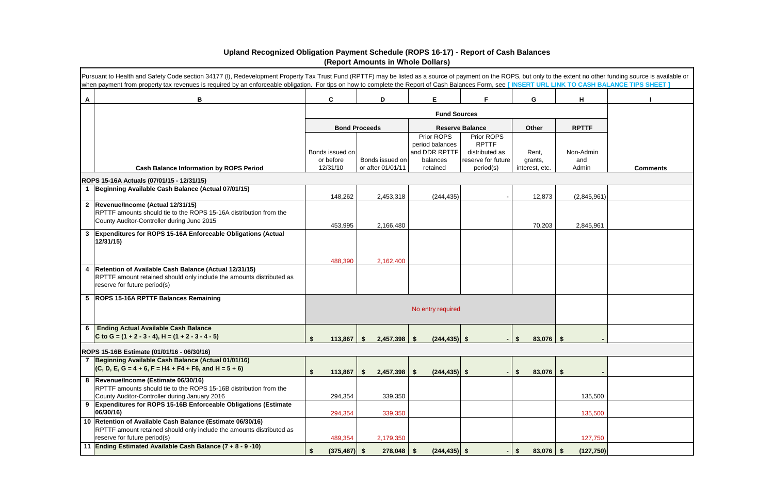|   | Pursuant to Health and Safety Code section 34177 (I), Redevelopment Property Tax Trust Fund (RPTTF) may be listed as a source of payment on the ROPS, but only to the extent no other funding source is available or<br>when payment from property tax revenues is required by an enforceable obligation. For tips on how to complete the Report of Cash Balances Form, see [INSERT URL LINK TO CASH BALANCE TIPS SHEET] |                       |                                      |                               |                                 |                           |              |                 |
|---|--------------------------------------------------------------------------------------------------------------------------------------------------------------------------------------------------------------------------------------------------------------------------------------------------------------------------------------------------------------------------------------------------------------------------|-----------------------|--------------------------------------|-------------------------------|---------------------------------|---------------------------|--------------|-----------------|
| A | В                                                                                                                                                                                                                                                                                                                                                                                                                        | $\mathbf c$           | D                                    | E                             | F                               | G                         | H            |                 |
|   |                                                                                                                                                                                                                                                                                                                                                                                                                          |                       |                                      | <b>Fund Sources</b>           |                                 |                           |              |                 |
|   |                                                                                                                                                                                                                                                                                                                                                                                                                          | <b>Bond Proceeds</b>  |                                      |                               | <b>Reserve Balance</b>          | <b>Other</b>              | <b>RPTTF</b> |                 |
|   |                                                                                                                                                                                                                                                                                                                                                                                                                          |                       |                                      | Prior ROPS<br>period balances | Prior ROPS<br><b>RPTTF</b>      |                           |              |                 |
|   |                                                                                                                                                                                                                                                                                                                                                                                                                          | Bonds issued on       |                                      | and DDR RPTTF                 | distributed as                  | Rent,                     | Non-Admin    |                 |
|   | <b>Cash Balance Information by ROPS Period</b>                                                                                                                                                                                                                                                                                                                                                                           | or before<br>12/31/10 | Bonds issued on<br>or after 01/01/11 | balances<br>retained          | reserve for future<br>period(s) | grants,<br>interest, etc. | and<br>Admin | <b>Comments</b> |
|   | ROPS 15-16A Actuals (07/01/15 - 12/31/15)                                                                                                                                                                                                                                                                                                                                                                                |                       |                                      |                               |                                 |                           |              |                 |
|   | 1 Beginning Available Cash Balance (Actual 07/01/15)                                                                                                                                                                                                                                                                                                                                                                     |                       |                                      |                               |                                 |                           |              |                 |
|   | 2  Revenue/Income (Actual 12/31/15)                                                                                                                                                                                                                                                                                                                                                                                      | 148,262               | 2,453,318                            | (244, 435)                    |                                 | 12,873                    | (2,845,961)  |                 |
|   | RPTTF amounts should tie to the ROPS 15-16A distribution from the                                                                                                                                                                                                                                                                                                                                                        |                       |                                      |                               |                                 |                           |              |                 |
|   | County Auditor-Controller during June 2015                                                                                                                                                                                                                                                                                                                                                                               | 453,995               | 2,166,480                            |                               |                                 | 70,203                    | 2,845,961    |                 |
|   | 3 Expenditures for ROPS 15-16A Enforceable Obligations (Actual<br>12/31/15                                                                                                                                                                                                                                                                                                                                               |                       |                                      |                               |                                 |                           |              |                 |
|   |                                                                                                                                                                                                                                                                                                                                                                                                                          | 488,390               | 2,162,400                            |                               |                                 |                           |              |                 |
|   | 4   Retention of Available Cash Balance (Actual 12/31/15)<br>RPTTF amount retained should only include the amounts distributed as<br>reserve for future period(s)                                                                                                                                                                                                                                                        |                       |                                      |                               |                                 |                           |              |                 |
|   | 5  ROPS 15-16A RPTTF Balances Remaining                                                                                                                                                                                                                                                                                                                                                                                  |                       |                                      | No entry required             |                                 |                           |              |                 |
|   | 6 Ending Actual Available Cash Balance<br>C to G = $(1 + 2 - 3 - 4)$ , H = $(1 + 2 - 3 - 4 - 5)$                                                                                                                                                                                                                                                                                                                         | 113,867               | 2,457,398                            | $(244, 435)$ \$<br>- \$       |                                 | $83,076$   \$<br>-S       |              |                 |
|   | ROPS 15-16B Estimate (01/01/16 - 06/30/16)                                                                                                                                                                                                                                                                                                                                                                               |                       |                                      |                               |                                 |                           |              |                 |
|   | 7 Beginning Available Cash Balance (Actual 01/01/16)                                                                                                                                                                                                                                                                                                                                                                     |                       |                                      |                               |                                 |                           |              |                 |
|   | $(C, D, E, G = 4 + 6, F = H4 + F4 + F6, and H = 5 + 6)$                                                                                                                                                                                                                                                                                                                                                                  | 113,867               | 2,457,398                            | -\$<br>$(244, 435)$ \$        |                                 | $83,076$ \$<br>-S         |              |                 |
|   | 8  Revenue/Income (Estimate 06/30/16)<br>RPTTF amounts should tie to the ROPS 15-16B distribution from the                                                                                                                                                                                                                                                                                                               |                       |                                      |                               |                                 |                           |              |                 |
|   | County Auditor-Controller during January 2016                                                                                                                                                                                                                                                                                                                                                                            | 294,354               | 339,350                              |                               |                                 |                           | 135,500      |                 |
|   | 9 Expenditures for ROPS 15-16B Enforceable Obligations (Estimate<br>06/30/16)                                                                                                                                                                                                                                                                                                                                            | 294,354               | 339,350                              |                               |                                 |                           | 135,500      |                 |
|   | 10 Retention of Available Cash Balance (Estimate 06/30/16)                                                                                                                                                                                                                                                                                                                                                               |                       |                                      |                               |                                 |                           |              |                 |
|   | RPTTF amount retained should only include the amounts distributed as<br>reserve for future period(s)                                                                                                                                                                                                                                                                                                                     | 489,354               | 2,179,350                            |                               |                                 |                           | 127,750      |                 |
|   | 11 Ending Estimated Available Cash Balance (7 + 8 - 9 -10)                                                                                                                                                                                                                                                                                                                                                               | $(375, 487)$ \$       | 278,048                              | $(244, 435)$ \$<br>- \$       |                                 | $83,076$ \$<br>S          | (127, 750)   |                 |

### **Upland Recognized Obligation Payment Schedule (ROPS 16-17) - Report of Cash Balances (Report Amounts in Whole Dollars)**